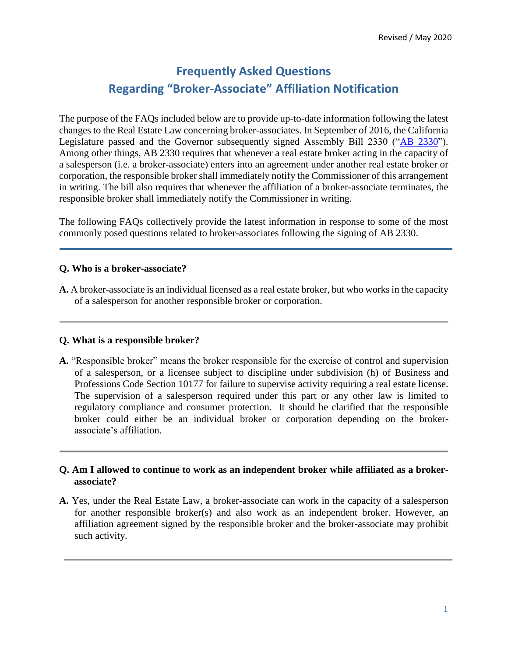# **Frequently Asked Questions Regarding "Broker-Associate" Affiliation Notification**

The purpose of the FAQs included below are to provide up-to-date information following the latest changes to the Real Estate Law concerning broker-associates. In September of 2016, the California Legislature passed and the Governor subsequently signed Assembly Bill 2330 ("AB 2330"). Among other things, AB 2330 requires that whenever a real estate broker acting in the capacity of a salesperson (i.e. a broker-associate) enters into an agreement under another real estate broker or corporation, the responsible broker shall immediately notify the Commissioner of this arrangement in writing. The bill also requires that whenever the affiliation of a broker-associate terminates, the responsible broker shall immediately notify the Commissioner in writing.

The following FAQs collectively provide the latest information in response to some of the most commonly posed questions related to broker-associates following the signing of AB 2330.

### **Q. Who is a broker-associate?**

**A.** A broker-associate is an individual licensed as a real estate broker, but who works in the capacity of a salesperson for another responsible broker or corporation.

#### **Q. What is a responsible broker?**

**A.** "Responsible broker" means the broker responsible for the exercise of control and supervision of a salesperson, or a licensee subject to discipline under subdivision (h) of Business and Professions Code Section 10177 for failure to supervise activity requiring a real estate license. The supervision of a salesperson required under this part or any other law is limited to regulatory compliance and consumer protection. It should be clarified that the responsible broker could either be an individual broker or corporation depending on the brokerassociate's affiliation.

### **Q. Am I allowed to continue to work as an independent broker while affiliated as a brokerassociate?**

**A.** Yes, under the Real Estate Law, a broker-associate can work in the capacity of a salesperson for another responsible broker(s) and also work as an independent broker. However, an affiliation agreement signed by the responsible broker and the broker-associate may prohibit such activity.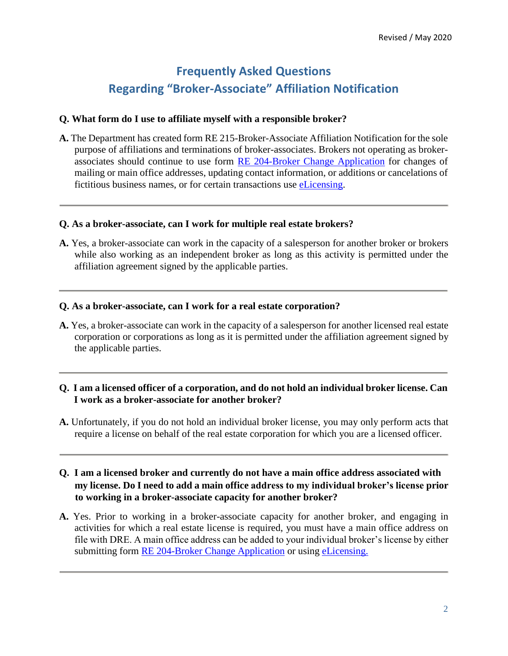# **Frequently Asked Questions Regarding "Broker-Associate" Affiliation Notification**

#### **Q. What form do I use to affiliate myself with a responsible broker?**

**A.** The Department has created form RE 215-Broker-Associate Affiliation Notification for the sole purpose of affiliations and terminations of broker-associates. Brokers not operating as brokerassociates should continue to use form RE 204-Broker Change Application for changes of mailing or main office addresses, updating contact information, or additions or cancelations of fictitious business names, or for certain transactions use eLicensing.

#### **Q. As a broker-associate, can I work for multiple real estate brokers?**

**A.** Yes, a broker-associate can work in the capacity of a salesperson for another broker or brokers while also working as an independent broker as long as this activity is permitted under the affiliation agreement signed by the applicable parties.

#### **Q. As a broker-associate, can I work for a real estate corporation?**

**A.** Yes, a broker-associate can work in the capacity of a salesperson for another licensed real estate corporation or corporations as long as it is permitted under the affiliation agreement signed by the applicable parties.

## **Q. I am a licensed officer of a corporation, and do not hold an individual broker license. Can I work as a broker-associate for another broker?**

**A.** Unfortunately, if you do not hold an individual broker license, you may only perform acts that require a license on behalf of the real estate corporation for which you are a licensed officer.

### **Q. I am a licensed broker and currently do not have a main office address associated with my license. Do I need to add a main office address to my individual broker's license prior to working in a broker-associate capacity for another broker?**

**A.** Yes. Prior to working in a broker-associate capacity for another broker, and engaging in activities for which a real estate license is required, you must have a main office address on file with DRE. A main office address can be added to your individual broker's license by either submitting form RE 204-Broker Change Application or using eLicensing.